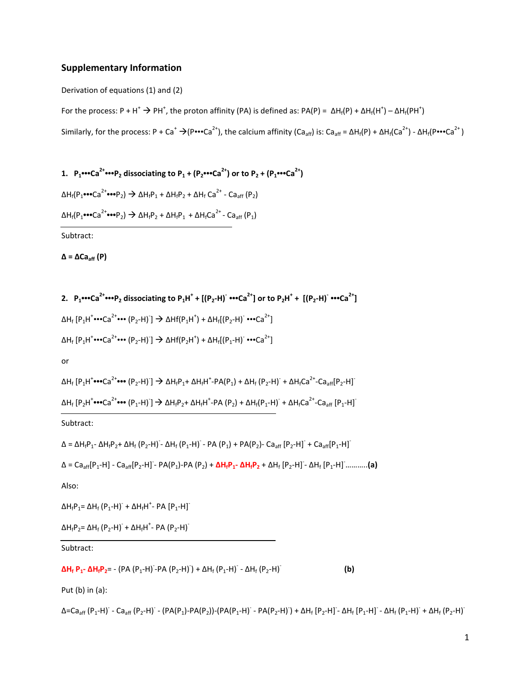## **Supplementary Information**

Derivation of equations (1) and (2)

For the process: P + H<sup>+</sup>  $\rightarrow$  PH<sup>+</sup>, the proton affinity (PA) is defined as: PA(P) =  $\Delta H_f(P) + \Delta H_f(H^+) - \Delta H_f(PH^+)$ Similarly, for the process: P + Ca<sup>+</sup>  $\rightarrow$ (P•••Ca<sup>2+</sup>), the calcium affinity (Ca<sub>aff</sub>) is: Ca<sub>aff</sub> = ΔH<sub>f</sub>(P) + ΔH<sub>f</sub>(Ca<sup>2+</sup>) - ΔH<sub>f</sub>(P•••Ca<sup>2+</sup>)

1.  $P_1$  ••• Ca<sup>2+</sup> •••  $P_2$  dissociating to  $P_1 + (P_2$  ••• Ca<sup>2+</sup>) or to  $P_2 + (P_1$  ••• Ca<sup>2+</sup>) ΔH<sub>f</sub>(P<sub>1</sub>•••Ca<sup>2+</sup>•••Ρ<sub>2</sub>)  $\rightarrow$  ΔH<sub>f</sub>P<sub>1</sub> + ΔH<sub>f</sub>P<sub>2</sub> + ΔH<sub>f</sub> Ca<sup>2+</sup> - Ca<sub>aff</sub> (P<sub>2</sub>) ΔH<sub>f</sub>(P<sub>1</sub>•••Ca<sup>2+</sup>•••Ρ<sub>2</sub>)  $\rightarrow$  ΔH<sub>f</sub>P<sub>2</sub> + ΔH<sub>f</sub>P<sub>1</sub> + ΔH<sub>f</sub>Ca<sup>2+</sup> - Ca<sub>aff</sub> (P<sub>1</sub>) Subtract:

**∆ = ∆Caaff (P)**

```
2. P_1 ••• Ca<sup>2+</sup> ••• P_2 dissociating to P_1H^+ + [(P_2-H)^- ••• Ca<sup>2+</sup>] or to P_2H^+ + [(P_2-H)^- ••• Ca<sup>2+</sup>]
 ΔH<sub>f</sub> [P<sub>1</sub>H<sup>+</sup>•••Ca<sup>2+</sup>••• (P<sub>2</sub>-H) ] \rightarrow ΔHf(P<sub>1</sub>H<sup>+</sup>) + ΔH<sub>f</sub>[(P<sub>2</sub>-H) •••Ca<sup>2+</sup>]
 ΔH<sub>f</sub> [P<sub>1</sub>H<sup>+</sup>•••Ca<sup>2+</sup>••• (P<sub>2</sub>-H) ] \rightarrow ΔHf(P<sub>2</sub>H<sup>+</sup>) + ΔH<sub>f</sub>[(P<sub>1</sub>-H) •••Ca<sup>2+</sup>]
or 
 ΔH<sub>f</sub> [P_1H^{\dagger}••• Ca<sup>2+</sup>••• (P<sub>2</sub>-H) ] \rightarrow ΔH<sub>f</sub>P<sub>1</sub>+ ΔH<sub>f</sub>H<sup>+</sup>-PA(P<sub>1</sub>) + ΔH<sub>f</sub> (P<sub>2</sub>-H) + ΔH<sub>f</sub>Ca<sup>2+</sup>-Ca<sub>aff</sub>[P<sub>2</sub>-H]
 ΔH<sub>f</sub> [P<sub>2</sub>H<sup>+</sup>•••Ca<sup>2+</sup>••• (P<sub>1</sub>-H) ] \rightarrow ΔH<sub>f</sub>P<sub>2</sub>+ ΔH<sub>f</sub>H<sup>+</sup>-PA (P<sub>2</sub>) + ΔH<sub>f</sub>(P<sub>1</sub>-H) + ΔH<sub>f</sub>Ca<sup>2+</sup>-Ca<sub>aff</sub> [P<sub>1</sub>-H]
Subtract:
```
 $\Delta = \Delta H_f P_1 - \Delta H_f P_2 + \Delta H_f (P_2 - H) - \Delta H_f (P_1 - H) - PA (P_1) + PA (P_2) - Ca_{aff} [P_2 - H] + Ca_{aff} [P_1 - H]$ 

$$
\Delta = Ca_{aff}[P_1 - H] - Ca_{aff}[P_2 - H] - PA(P_1) - PA(P_2) + \Delta H_f P_1 - \Delta H_f P_2 + \Delta H_f [P_2 - H] - \Delta H_f [P_1 - H] \dots \dots \dots (a)
$$

Also:

 $ΔH_fP_1 = ΔH_f (P_1-H)^+ + ΔH_fH^+ - PA [P_1-H]^+$ 

ΔH<sub>f</sub>P<sub>2</sub>= ΔH<sub>f</sub> (P<sub>2</sub>-H) + ΔH<sub>f</sub>H<sup>+</sup>- PA (P<sub>2</sub>-H)

Subtract:

 $\Delta H_f$  **P<sub>1</sub>-**  $\Delta H_f$ **P**<sub>2</sub>= - (PA (P<sub>1</sub>-H)<sup>-</sup>-PA (P<sub>2</sub>-H)<sup>-</sup>) + ΔH<sub>f</sub> (P<sub>1</sub>-H)<sup>-</sup> - ΔH<sub>f</sub> (P<sub>2</sub>-H)<sup>-</sup> **(b)**

Put (b) in (a):

Δ=Ca<sub>aff</sub> (P<sub>1</sub>-H)<sup>-</sup> - Ca<sub>aff</sub> (P<sub>2</sub>-H)<sup>-</sup> - (PA(P<sub>1</sub>)-PA(P<sub>2</sub>))-(PA(P<sub>1</sub>-H)<sup>-</sup> - PA(P<sub>2</sub>-H)<sup>-</sup>) + ΔH<sub>f</sub> [P<sub>2</sub>-H]<sup>-</sup> ΔH<sub>f</sub> (P<sub>1</sub>-H]<sup>-</sup> - ΔH<sub>f</sub> (P<sub>1</sub>-H)<sup>-</sup> + ΔH<sub>f</sub> (P<sub>2</sub>-H)<sup>-</sup>